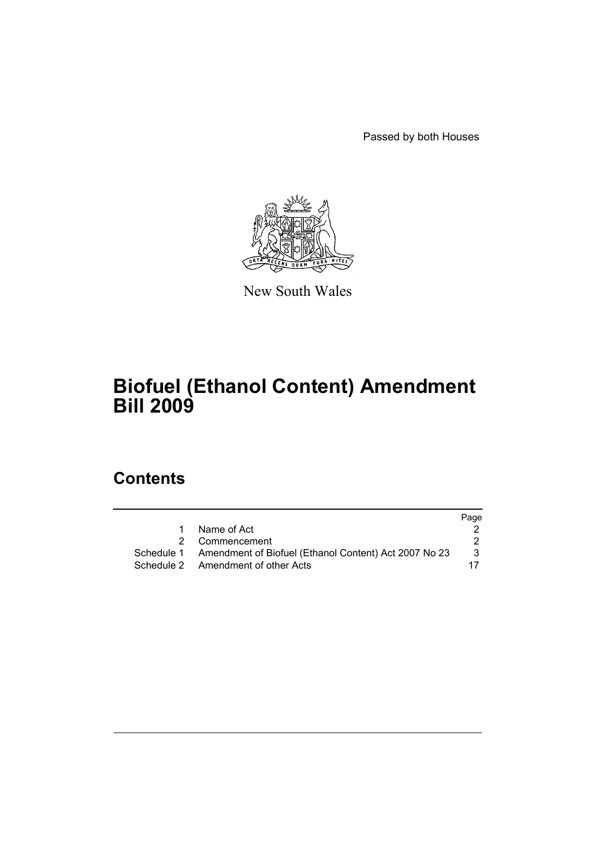Passed by both Houses



New South Wales

# **Biofuel (Ethanol Content) Amendment Bill 2009**

# **Contents**

|           |                                                                  | Page |
|-----------|------------------------------------------------------------------|------|
| $1 \quad$ | Name of Act                                                      |      |
|           | 2 Commencement                                                   |      |
|           | Schedule 1 Amendment of Biofuel (Ethanol Content) Act 2007 No 23 | 3    |
|           | Schedule 2 Amendment of other Acts                               |      |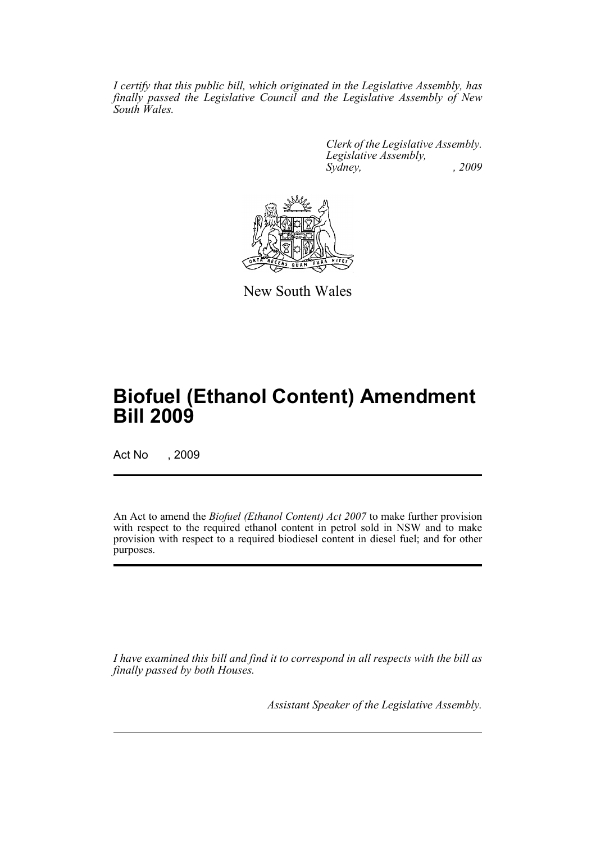*I certify that this public bill, which originated in the Legislative Assembly, has finally passed the Legislative Council and the Legislative Assembly of New South Wales.*

> *Clerk of the Legislative Assembly. Legislative Assembly, Sydney, , 2009*



New South Wales

# **Biofuel (Ethanol Content) Amendment Bill 2009**

Act No , 2009

An Act to amend the *Biofuel (Ethanol Content) Act 2007* to make further provision with respect to the required ethanol content in petrol sold in NSW and to make provision with respect to a required biodiesel content in diesel fuel; and for other purposes.

*I have examined this bill and find it to correspond in all respects with the bill as finally passed by both Houses.*

*Assistant Speaker of the Legislative Assembly.*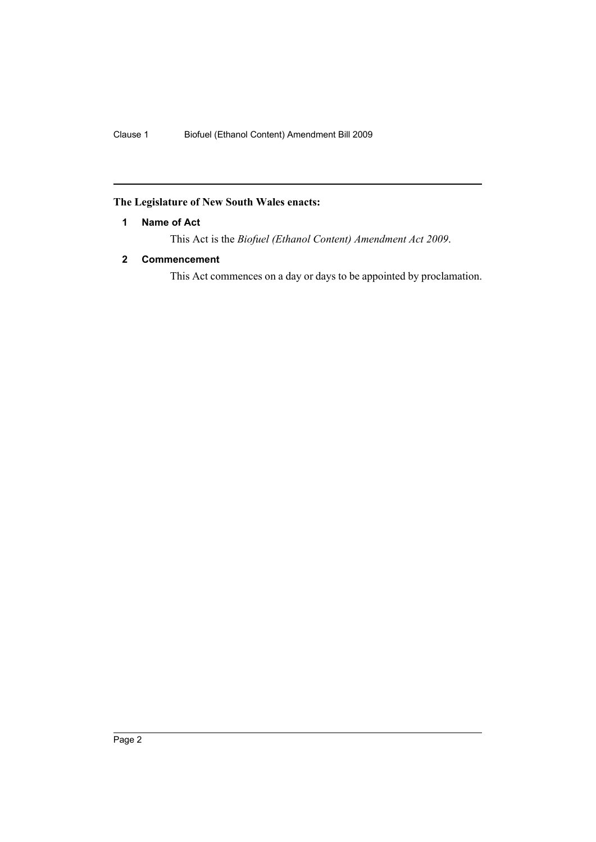# <span id="page-2-0"></span>**The Legislature of New South Wales enacts:**

# **1 Name of Act**

This Act is the *Biofuel (Ethanol Content) Amendment Act 2009*.

# <span id="page-2-1"></span>**2 Commencement**

This Act commences on a day or days to be appointed by proclamation.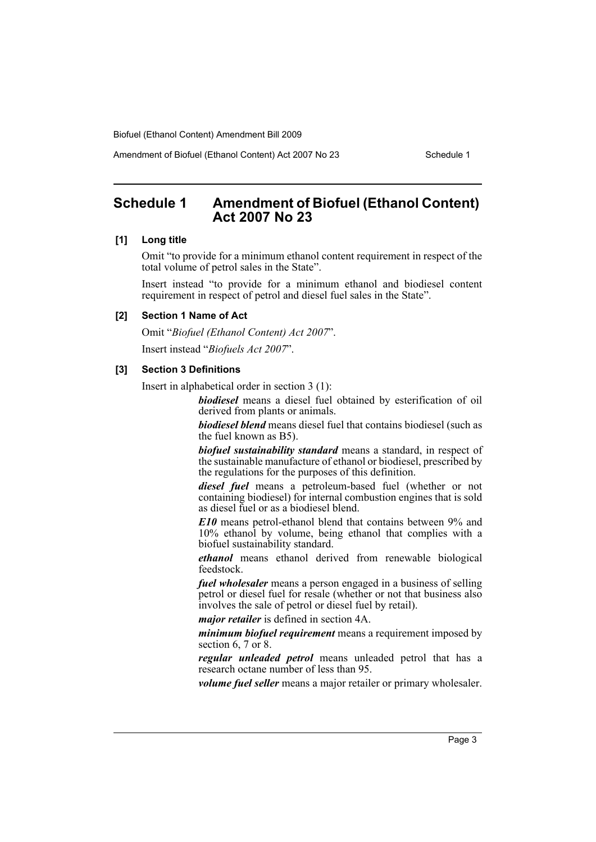Amendment of Biofuel (Ethanol Content) Act 2007 No 23 Schedule 1

# <span id="page-3-0"></span>**Schedule 1 Amendment of Biofuel (Ethanol Content) Act 2007 No 23**

#### **[1] Long title**

Omit "to provide for a minimum ethanol content requirement in respect of the total volume of petrol sales in the State".

Insert instead "to provide for a minimum ethanol and biodiesel content requirement in respect of petrol and diesel fuel sales in the State".

#### **[2] Section 1 Name of Act**

Omit "*Biofuel (Ethanol Content) Act 2007*". Insert instead "*Biofuels Act 2007*".

#### **[3] Section 3 Definitions**

Insert in alphabetical order in section 3 (1):

*biodiesel* means a diesel fuel obtained by esterification of oil derived from plants or animals.

*biodiesel blend* means diesel fuel that contains biodiesel (such as the fuel known as B5).

*biofuel sustainability standard* means a standard, in respect of the sustainable manufacture of ethanol or biodiesel, prescribed by the regulations for the purposes of this definition.

*diesel fuel* means a petroleum-based fuel (whether or not containing biodiesel) for internal combustion engines that is sold as diesel fuel or as a biodiesel blend.

*E10* means petrol-ethanol blend that contains between 9% and 10% ethanol by volume, being ethanol that complies with a biofuel sustainability standard.

*ethanol* means ethanol derived from renewable biological feedstock.

*fuel wholesaler* means a person engaged in a business of selling petrol or diesel fuel for resale (whether or not that business also involves the sale of petrol or diesel fuel by retail).

*major retailer* is defined in section 4A.

*minimum biofuel requirement* means a requirement imposed by section 6, 7 or 8.

*regular unleaded petrol* means unleaded petrol that has a research octane number of less than 95.

*volume fuel seller* means a major retailer or primary wholesaler.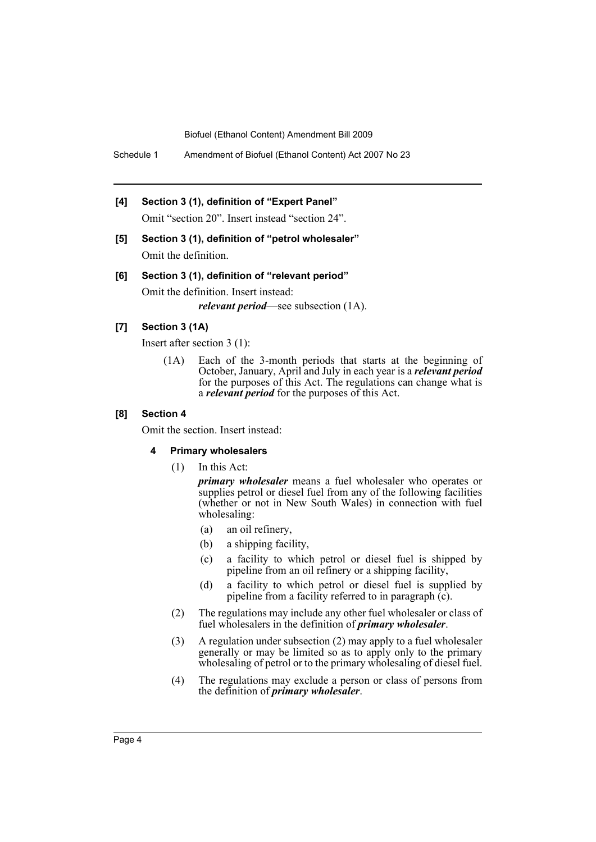Schedule 1 Amendment of Biofuel (Ethanol Content) Act 2007 No 23

#### **[4] Section 3 (1), definition of "Expert Panel"**

Omit "section 20". Insert instead "section 24".

**[5] Section 3 (1), definition of "petrol wholesaler"** Omit the definition.

#### **[6] Section 3 (1), definition of "relevant period"**

Omit the definition. Insert instead: *relevant period*—see subsection (1A).

## **[7] Section 3 (1A)**

Insert after section 3 (1):

(1A) Each of the 3-month periods that starts at the beginning of October, January, April and July in each year is a *relevant period* for the purposes of this Act. The regulations can change what is a *relevant period* for the purposes of this Act.

#### **[8] Section 4**

Omit the section. Insert instead:

#### **4 Primary wholesalers**

(1) In this Act:

*primary wholesaler* means a fuel wholesaler who operates or supplies petrol or diesel fuel from any of the following facilities (whether or not in New South Wales) in connection with fuel wholesaling:

- (a) an oil refinery,
- (b) a shipping facility,
- (c) a facility to which petrol or diesel fuel is shipped by pipeline from an oil refinery or a shipping facility,
- (d) a facility to which petrol or diesel fuel is supplied by pipeline from a facility referred to in paragraph  $(c)$ .
- (2) The regulations may include any other fuel wholesaler or class of fuel wholesalers in the definition of *primary wholesaler*.
- (3) A regulation under subsection (2) may apply to a fuel wholesaler generally or may be limited so as to apply only to the primary wholesaling of petrol or to the primary wholesaling of diesel fuel.
- (4) The regulations may exclude a person or class of persons from the definition of *primary wholesaler*.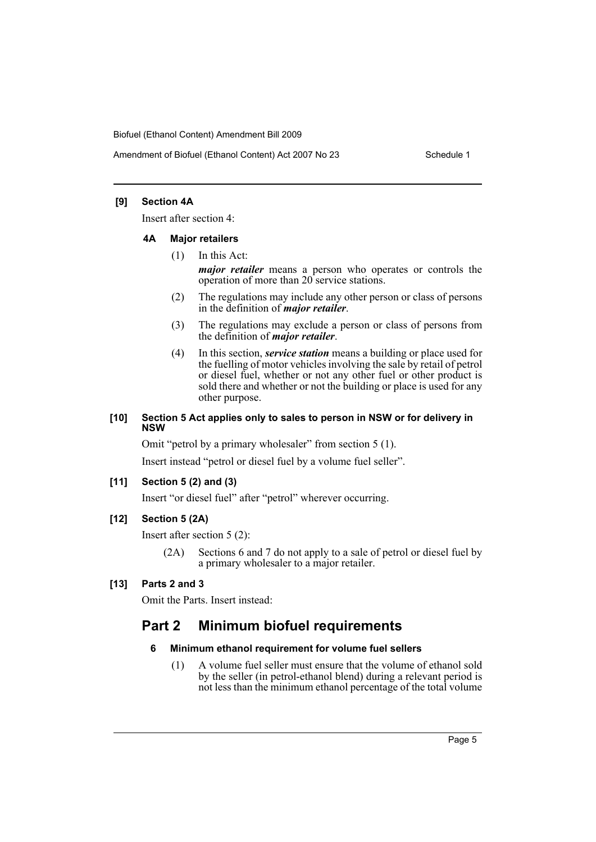## **[9] Section 4A**

Insert after section 4:

#### **4A Major retailers**

- (1) In this Act: *major retailer* means a person who operates or controls the operation of more than 20 service stations.
- (2) The regulations may include any other person or class of persons in the definition of *major retailer*.
- (3) The regulations may exclude a person or class of persons from the definition of *major retailer*.
- (4) In this section, *service station* means a building or place used for the fuelling of motor vehicles involving the sale by retail of petrol or diesel fuel, whether or not any other fuel or other product is sold there and whether or not the building or place is used for any other purpose.

#### **[10] Section 5 Act applies only to sales to person in NSW or for delivery in NSW**

Omit "petrol by a primary wholesaler" from section 5 (1).

Insert instead "petrol or diesel fuel by a volume fuel seller".

#### **[11] Section 5 (2) and (3)**

Insert "or diesel fuel" after "petrol" wherever occurring.

## **[12] Section 5 (2A)**

Insert after section 5 (2):

(2A) Sections 6 and 7 do not apply to a sale of petrol or diesel fuel by a primary wholesaler to a major retailer.

## **[13] Parts 2 and 3**

Omit the Parts. Insert instead:

# **Part 2 Minimum biofuel requirements**

## **6 Minimum ethanol requirement for volume fuel sellers**

(1) A volume fuel seller must ensure that the volume of ethanol sold by the seller (in petrol-ethanol blend) during a relevant period is not less than the minimum ethanol percentage of the total volume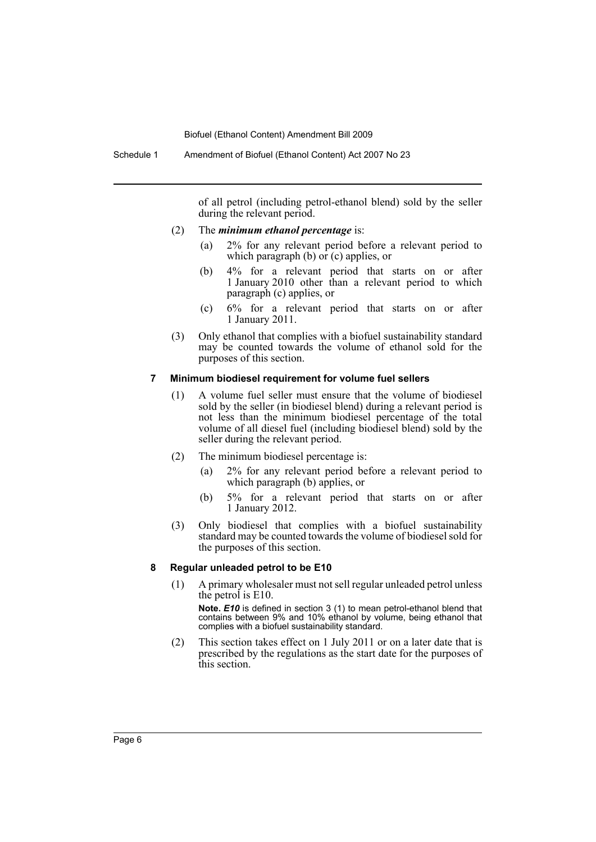of all petrol (including petrol-ethanol blend) sold by the seller during the relevant period.

- (2) The *minimum ethanol percentage* is:
	- (a) 2% for any relevant period before a relevant period to which paragraph (b) or (c) applies, or
	- (b) 4% for a relevant period that starts on or after 1 January 2010 other than a relevant period to which paragraph (c) applies, or
	- (c) 6% for a relevant period that starts on or after 1 January 2011.
- (3) Only ethanol that complies with a biofuel sustainability standard may be counted towards the volume of ethanol sold for the purposes of this section.

#### **7 Minimum biodiesel requirement for volume fuel sellers**

- (1) A volume fuel seller must ensure that the volume of biodiesel sold by the seller (in biodiesel blend) during a relevant period is not less than the minimum biodiesel percentage of the total volume of all diesel fuel (including biodiesel blend) sold by the seller during the relevant period.
- (2) The minimum biodiesel percentage is:
	- (a) 2% for any relevant period before a relevant period to which paragraph (b) applies, or
	- (b) 5% for a relevant period that starts on or after 1 January 2012.
- (3) Only biodiesel that complies with a biofuel sustainability standard may be counted towards the volume of biodiesel sold for the purposes of this section.

#### **8 Regular unleaded petrol to be E10**

(1) A primary wholesaler must not sell regular unleaded petrol unless the petrol is E10.

**Note.** *E10* is defined in section 3 (1) to mean petrol-ethanol blend that contains between 9% and 10% ethanol by volume, being ethanol that complies with a biofuel sustainability standard.

(2) This section takes effect on 1 July 2011 or on a later date that is prescribed by the regulations as the start date for the purposes of this section.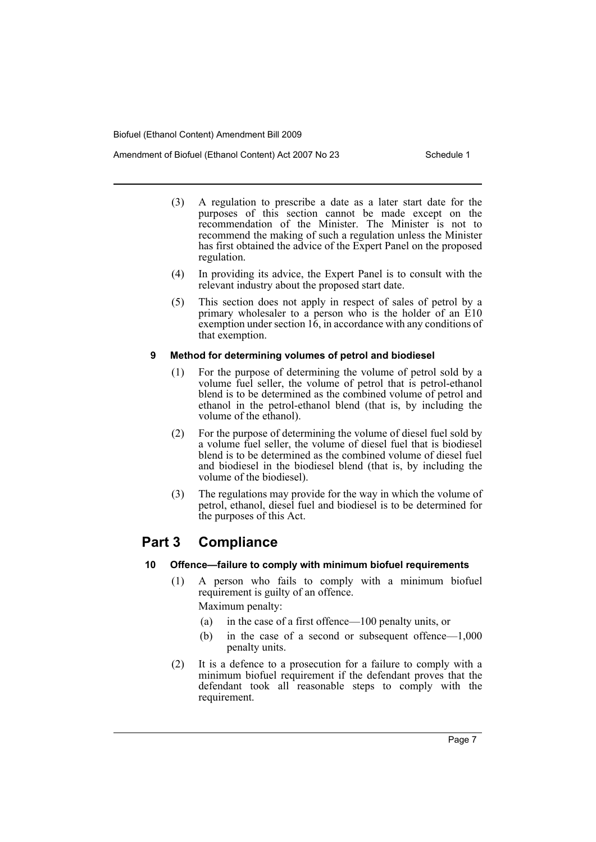Amendment of Biofuel (Ethanol Content) Act 2007 No 23 Schedule 1

- (3) A regulation to prescribe a date as a later start date for the purposes of this section cannot be made except on the recommendation of the Minister. The Minister is not to recommend the making of such a regulation unless the Minister has first obtained the advice of the Expert Panel on the proposed regulation.
- (4) In providing its advice, the Expert Panel is to consult with the relevant industry about the proposed start date.
- (5) This section does not apply in respect of sales of petrol by a primary wholesaler to a person who is the holder of an E10 exemption under section  $16$ , in accordance with any conditions of that exemption.

# **9 Method for determining volumes of petrol and biodiesel**

- (1) For the purpose of determining the volume of petrol sold by a volume fuel seller, the volume of petrol that is petrol-ethanol blend is to be determined as the combined volume of petrol and ethanol in the petrol-ethanol blend (that is, by including the volume of the ethanol).
- (2) For the purpose of determining the volume of diesel fuel sold by a volume fuel seller, the volume of diesel fuel that is biodiesel blend is to be determined as the combined volume of diesel fuel and biodiesel in the biodiesel blend (that is, by including the volume of the biodiesel).
- (3) The regulations may provide for the way in which the volume of petrol, ethanol, diesel fuel and biodiesel is to be determined for the purposes of this Act.

# **Part 3 Compliance**

# **10 Offence—failure to comply with minimum biofuel requirements**

- (1) A person who fails to comply with a minimum biofuel requirement is guilty of an offence. Maximum penalty:
	- (a) in the case of a first offence—100 penalty units, or
	- (b) in the case of a second or subsequent offence—1,000 penalty units.
- (2) It is a defence to a prosecution for a failure to comply with a minimum biofuel requirement if the defendant proves that the defendant took all reasonable steps to comply with the requirement.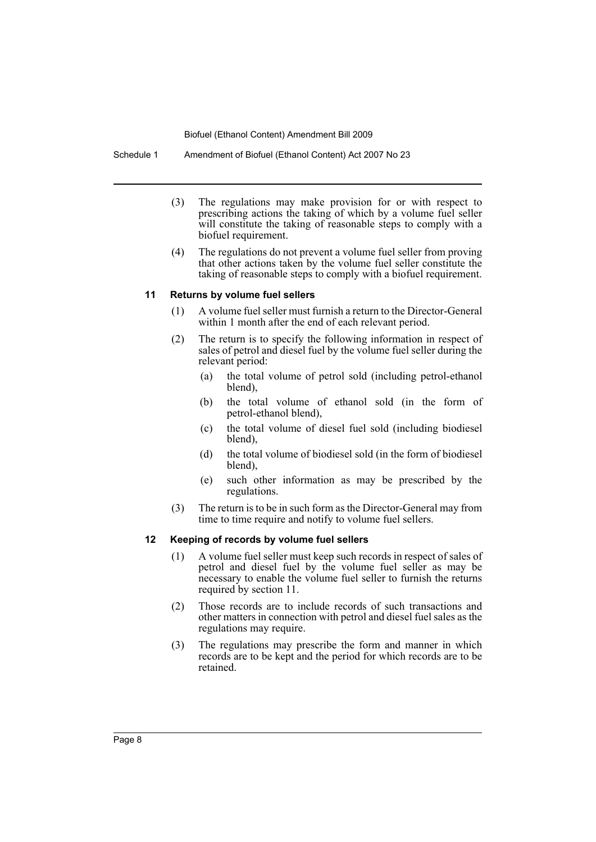Schedule 1 Amendment of Biofuel (Ethanol Content) Act 2007 No 23

- (3) The regulations may make provision for or with respect to prescribing actions the taking of which by a volume fuel seller will constitute the taking of reasonable steps to comply with a biofuel requirement.
- (4) The regulations do not prevent a volume fuel seller from proving that other actions taken by the volume fuel seller constitute the taking of reasonable steps to comply with a biofuel requirement.

# **11 Returns by volume fuel sellers**

- (1) A volume fuel seller must furnish a return to the Director-General within 1 month after the end of each relevant period.
- (2) The return is to specify the following information in respect of sales of petrol and diesel fuel by the volume fuel seller during the relevant period:
	- (a) the total volume of petrol sold (including petrol-ethanol blend),
	- (b) the total volume of ethanol sold (in the form of petrol-ethanol blend),
	- (c) the total volume of diesel fuel sold (including biodiesel blend),
	- (d) the total volume of biodiesel sold (in the form of biodiesel blend),
	- (e) such other information as may be prescribed by the regulations.
- (3) The return is to be in such form as the Director-General may from time to time require and notify to volume fuel sellers.

#### **12 Keeping of records by volume fuel sellers**

- (1) A volume fuel seller must keep such records in respect of sales of petrol and diesel fuel by the volume fuel seller as may be necessary to enable the volume fuel seller to furnish the returns required by section 11.
- (2) Those records are to include records of such transactions and other matters in connection with petrol and diesel fuel sales as the regulations may require.
- (3) The regulations may prescribe the form and manner in which records are to be kept and the period for which records are to be retained.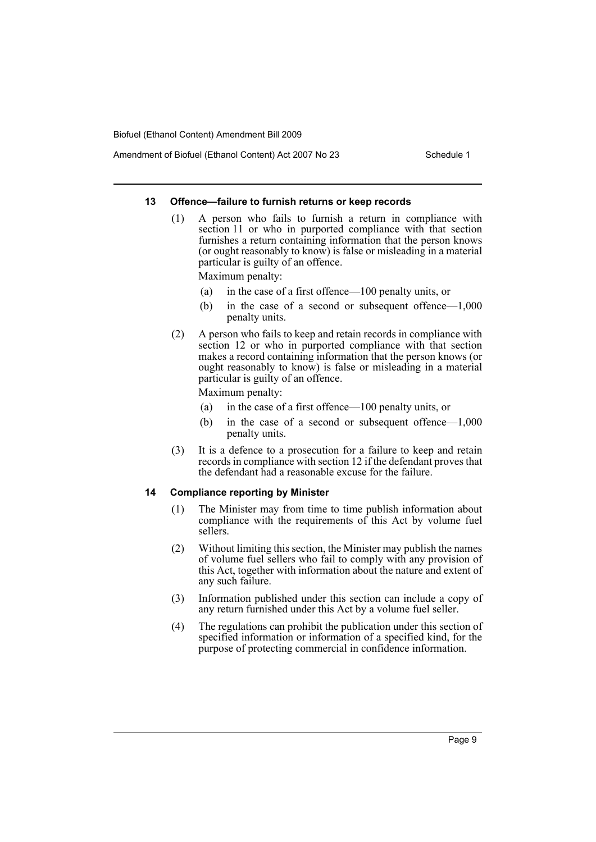#### **13 Offence—failure to furnish returns or keep records**

- (1) A person who fails to furnish a return in compliance with section 11 or who in purported compliance with that section furnishes a return containing information that the person knows (or ought reasonably to know) is false or misleading in a material particular is guilty of an offence. Maximum penalty:
	- (a) in the case of a first offence—100 penalty units, or
	- (b) in the case of a second or subsequent offence—1,000 penalty units.
- (2) A person who fails to keep and retain records in compliance with section 12 or who in purported compliance with that section makes a record containing information that the person knows (or ought reasonably to know) is false or misleading in a material particular is guilty of an offence.

Maximum penalty:

- (a) in the case of a first offence—100 penalty units, or
- (b) in the case of a second or subsequent offence—1,000 penalty units.
- (3) It is a defence to a prosecution for a failure to keep and retain records in compliance with section 12 if the defendant proves that the defendant had a reasonable excuse for the failure.

#### **14 Compliance reporting by Minister**

- (1) The Minister may from time to time publish information about compliance with the requirements of this Act by volume fuel sellers.
- (2) Without limiting this section, the Minister may publish the names of volume fuel sellers who fail to comply with any provision of this Act, together with information about the nature and extent of any such failure.
- (3) Information published under this section can include a copy of any return furnished under this Act by a volume fuel seller.
- (4) The regulations can prohibit the publication under this section of specified information or information of a specified kind, for the purpose of protecting commercial in confidence information.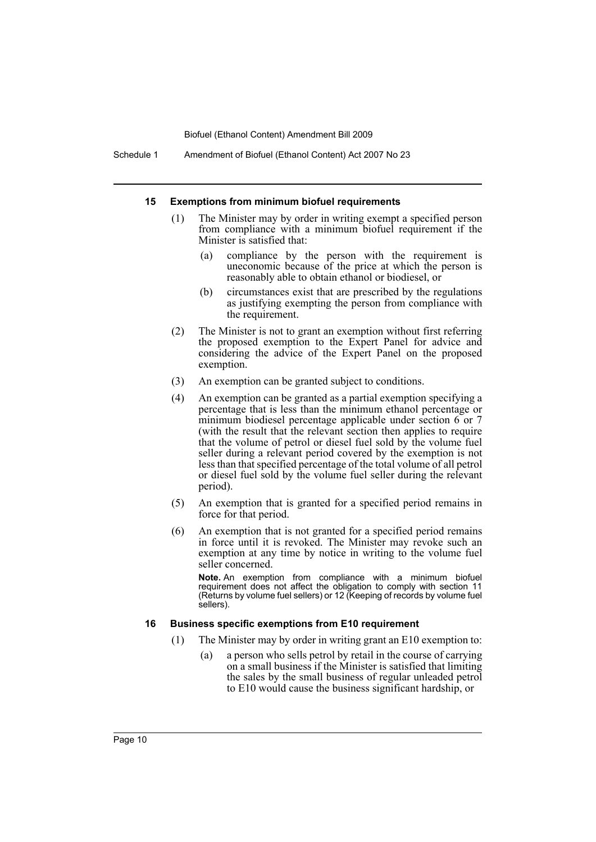Schedule 1 Amendment of Biofuel (Ethanol Content) Act 2007 No 23

#### **15 Exemptions from minimum biofuel requirements**

- (1) The Minister may by order in writing exempt a specified person from compliance with a minimum biofuel requirement if the Minister is satisfied that:
	- (a) compliance by the person with the requirement is uneconomic because of the price at which the person is reasonably able to obtain ethanol or biodiesel, or
	- (b) circumstances exist that are prescribed by the regulations as justifying exempting the person from compliance with the requirement.
- (2) The Minister is not to grant an exemption without first referring the proposed exemption to the Expert Panel for advice and considering the advice of the Expert Panel on the proposed exemption.
- (3) An exemption can be granted subject to conditions.
- (4) An exemption can be granted as a partial exemption specifying a percentage that is less than the minimum ethanol percentage or minimum biodiesel percentage applicable under section 6 or 7 (with the result that the relevant section then applies to require that the volume of petrol or diesel fuel sold by the volume fuel seller during a relevant period covered by the exemption is not less than that specified percentage of the total volume of all petrol or diesel fuel sold by the volume fuel seller during the relevant period).
- (5) An exemption that is granted for a specified period remains in force for that period.
- (6) An exemption that is not granted for a specified period remains in force until it is revoked. The Minister may revoke such an exemption at any time by notice in writing to the volume fuel seller concerned.

**Note.** An exemption from compliance with a minimum biofuel requirement does not affect the obligation to comply with section 11 (Returns by volume fuel sellers) or 12 (Keeping of records by volume fuel sellers).

#### **16 Business specific exemptions from E10 requirement**

- (1) The Minister may by order in writing grant an E10 exemption to:
	- (a) a person who sells petrol by retail in the course of carrying on a small business if the Minister is satisfied that limiting the sales by the small business of regular unleaded petrol to E10 would cause the business significant hardship, or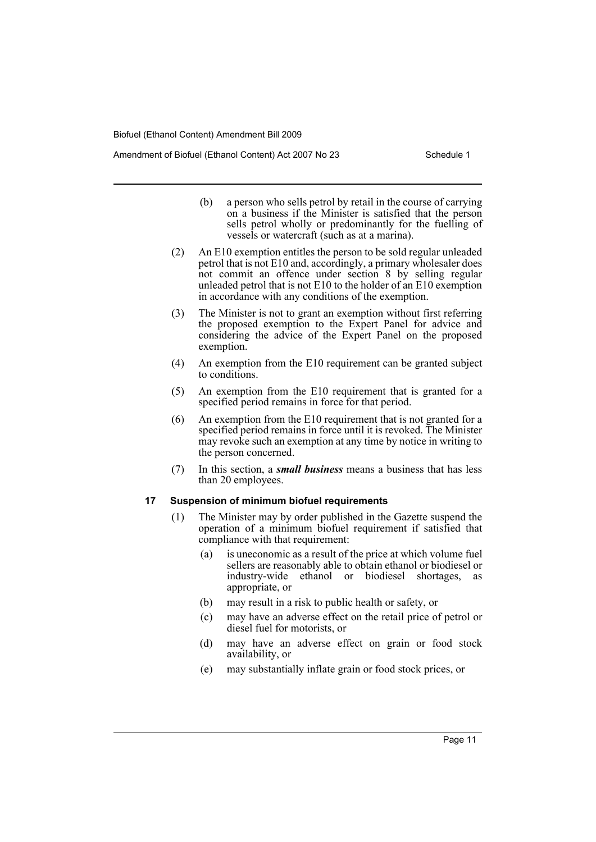Amendment of Biofuel (Ethanol Content) Act 2007 No 23 Schedule 1

- (b) a person who sells petrol by retail in the course of carrying on a business if the Minister is satisfied that the person sells petrol wholly or predominantly for the fuelling of vessels or watercraft (such as at a marina).
- (2) An E10 exemption entitles the person to be sold regular unleaded petrol that is not E10 and, accordingly, a primary wholesaler does not commit an offence under section 8 by selling regular unleaded petrol that is not E10 to the holder of an E10 exemption in accordance with any conditions of the exemption.
- (3) The Minister is not to grant an exemption without first referring the proposed exemption to the Expert Panel for advice and considering the advice of the Expert Panel on the proposed exemption.
- (4) An exemption from the E10 requirement can be granted subject to conditions.
- (5) An exemption from the E10 requirement that is granted for a specified period remains in force for that period.
- (6) An exemption from the E10 requirement that is not granted for a specified period remains in force until it is revoked. The Minister may revoke such an exemption at any time by notice in writing to the person concerned.
- (7) In this section, a *small business* means a business that has less than 20 employees.

#### **17 Suspension of minimum biofuel requirements**

- (1) The Minister may by order published in the Gazette suspend the operation of a minimum biofuel requirement if satisfied that compliance with that requirement:
	- (a) is uneconomic as a result of the price at which volume fuel sellers are reasonably able to obtain ethanol or biodiesel or industry-wide ethanol or biodiesel shortages, as appropriate, or
	- (b) may result in a risk to public health or safety, or
	- (c) may have an adverse effect on the retail price of petrol or diesel fuel for motorists, or
	- (d) may have an adverse effect on grain or food stock availability, or
	- (e) may substantially inflate grain or food stock prices, or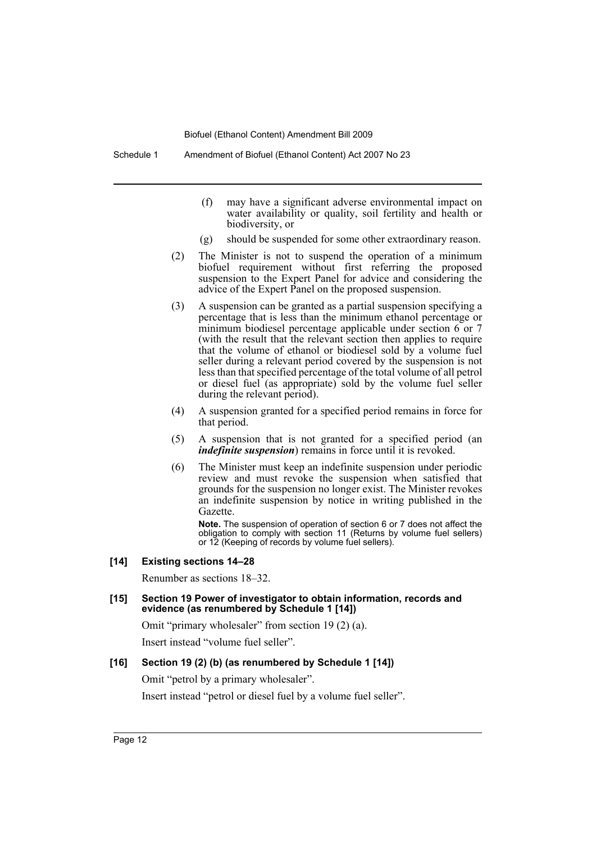- (f) may have a significant adverse environmental impact on water availability or quality, soil fertility and health or biodiversity, or
- (g) should be suspended for some other extraordinary reason.
- (2) The Minister is not to suspend the operation of a minimum biofuel requirement without first referring the proposed suspension to the Expert Panel for advice and considering the advice of the Expert Panel on the proposed suspension.
- (3) A suspension can be granted as a partial suspension specifying a percentage that is less than the minimum ethanol percentage or minimum biodiesel percentage applicable under section 6 or 7 (with the result that the relevant section then applies to require that the volume of ethanol or biodiesel sold by a volume fuel seller during a relevant period covered by the suspension is not less than that specified percentage of the total volume of all petrol or diesel fuel (as appropriate) sold by the volume fuel seller during the relevant period).
- (4) A suspension granted for a specified period remains in force for that period.
- (5) A suspension that is not granted for a specified period (an *indefinite suspension*) remains in force until it is revoked.
- (6) The Minister must keep an indefinite suspension under periodic review and must revoke the suspension when satisfied that grounds for the suspension no longer exist. The Minister revokes an indefinite suspension by notice in writing published in the Gazette.

**Note.** The suspension of operation of section 6 or 7 does not affect the obligation to comply with section 11 (Returns by volume fuel sellers) or 12 (Keeping of records by volume fuel sellers).

#### **[14] Existing sections 14–28**

Renumber as sections 18–32.

#### **[15] Section 19 Power of investigator to obtain information, records and evidence (as renumbered by Schedule 1 [14])**

Omit "primary wholesaler" from section 19 (2) (a).

Insert instead "volume fuel seller".

## **[16] Section 19 (2) (b) (as renumbered by Schedule 1 [14])**

Omit "petrol by a primary wholesaler".

Insert instead "petrol or diesel fuel by a volume fuel seller".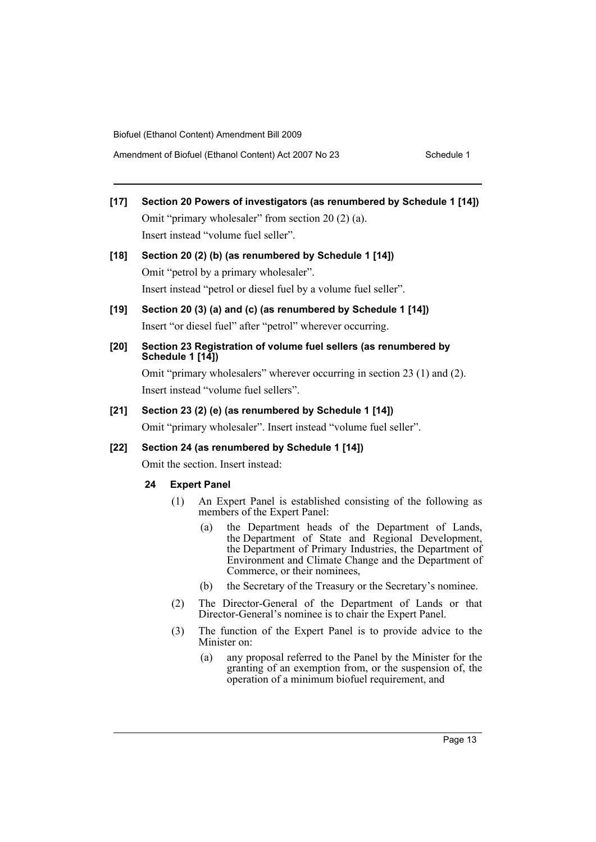- **[17] Section 20 Powers of investigators (as renumbered by Schedule 1 [14])** Omit "primary wholesaler" from section 20 (2) (a). Insert instead "volume fuel seller".
- **[18] Section 20 (2) (b) (as renumbered by Schedule 1 [14])** Omit "petrol by a primary wholesaler". Insert instead "petrol or diesel fuel by a volume fuel seller".
- **[19] Section 20 (3) (a) and (c) (as renumbered by Schedule 1 [14])** Insert "or diesel fuel" after "petrol" wherever occurring.
- **[20] Section 23 Registration of volume fuel sellers (as renumbered by Schedule 1 [14])**

Omit "primary wholesalers" wherever occurring in section 23 (1) and (2). Insert instead "volume fuel sellers".

# **[21] Section 23 (2) (e) (as renumbered by Schedule 1 [14])**

Omit "primary wholesaler". Insert instead "volume fuel seller".

## **[22] Section 24 (as renumbered by Schedule 1 [14])**

Omit the section. Insert instead:

## **24 Expert Panel**

- (1) An Expert Panel is established consisting of the following as members of the Expert Panel:
	- (a) the Department heads of the Department of Lands, the Department of State and Regional Development, the Department of Primary Industries, the Department of Environment and Climate Change and the Department of Commerce, or their nominees,
	- (b) the Secretary of the Treasury or the Secretary's nominee.
- (2) The Director-General of the Department of Lands or that Director-General's nominee is to chair the Expert Panel.
- (3) The function of the Expert Panel is to provide advice to the Minister on:
	- (a) any proposal referred to the Panel by the Minister for the granting of an exemption from, or the suspension of, the operation of a minimum biofuel requirement, and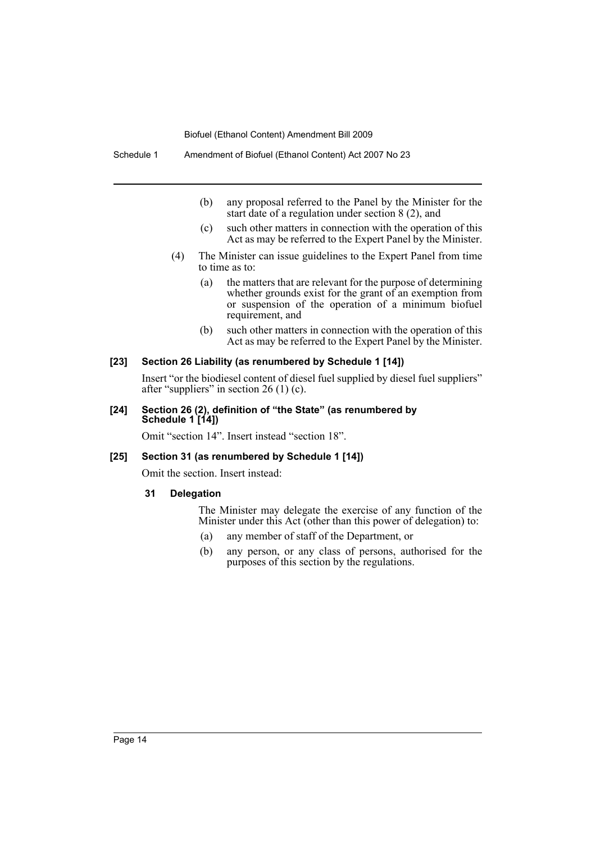- (b) any proposal referred to the Panel by the Minister for the start date of a regulation under section 8 (2), and
- (c) such other matters in connection with the operation of this Act as may be referred to the Expert Panel by the Minister.
- (4) The Minister can issue guidelines to the Expert Panel from time to time as to:
	- (a) the matters that are relevant for the purpose of determining whether grounds exist for the grant of an exemption from or suspension of the operation of a minimum biofuel requirement, and
	- (b) such other matters in connection with the operation of this Act as may be referred to the Expert Panel by the Minister.

#### **[23] Section 26 Liability (as renumbered by Schedule 1 [14])**

Insert "or the biodiesel content of diesel fuel supplied by diesel fuel suppliers" after "suppliers" in section 26 (1) (c).

#### **[24] Section 26 (2), definition of "the State" (as renumbered by Schedule 1 [14])**

Omit "section 14". Insert instead "section 18".

#### **[25] Section 31 (as renumbered by Schedule 1 [14])**

Omit the section. Insert instead:

#### **31 Delegation**

The Minister may delegate the exercise of any function of the Minister under this Act (other than this power of delegation) to:

- (a) any member of staff of the Department, or
- (b) any person, or any class of persons, authorised for the purposes of this section by the regulations.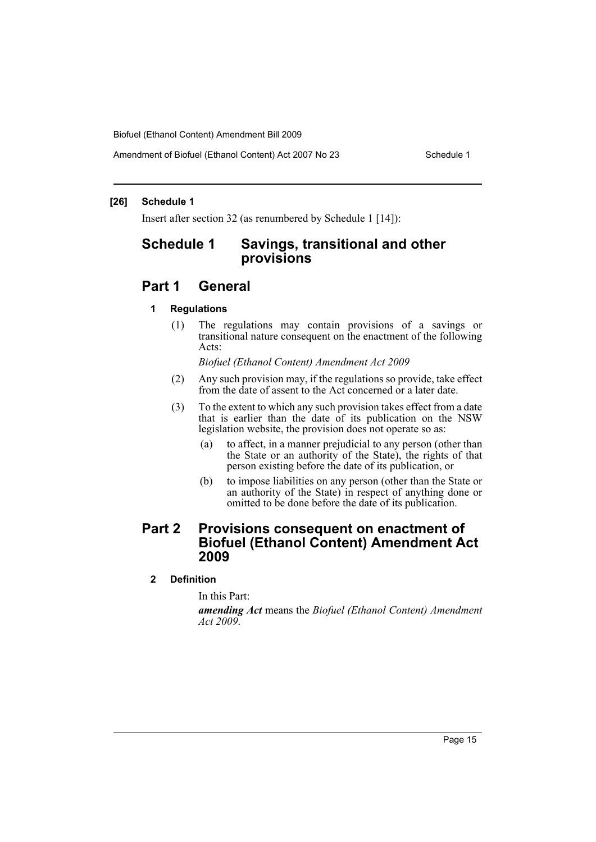Amendment of Biofuel (Ethanol Content) Act 2007 No 23 Schedule 1

#### **[26] Schedule 1**

Insert after section 32 (as renumbered by Schedule 1 [14]):

# **Schedule 1 Savings, transitional and other provisions**

# **Part 1 General**

## **1 Regulations**

(1) The regulations may contain provisions of a savings or transitional nature consequent on the enactment of the following Acts:

*Biofuel (Ethanol Content) Amendment Act 2009*

- (2) Any such provision may, if the regulations so provide, take effect from the date of assent to the Act concerned or a later date.
- (3) To the extent to which any such provision takes effect from a date that is earlier than the date of its publication on the NSW legislation website, the provision does not operate so as:
	- (a) to affect, in a manner prejudicial to any person (other than the State or an authority of the State), the rights of that person existing before the date of its publication, or
	- (b) to impose liabilities on any person (other than the State or an authority of the State) in respect of anything done or omitted to be done before the date of its publication.

# **Part 2 Provisions consequent on enactment of Biofuel (Ethanol Content) Amendment Act 2009**

# **2 Definition**

In this Part:

*amending Act* means the *Biofuel (Ethanol Content) Amendment Act 2009*.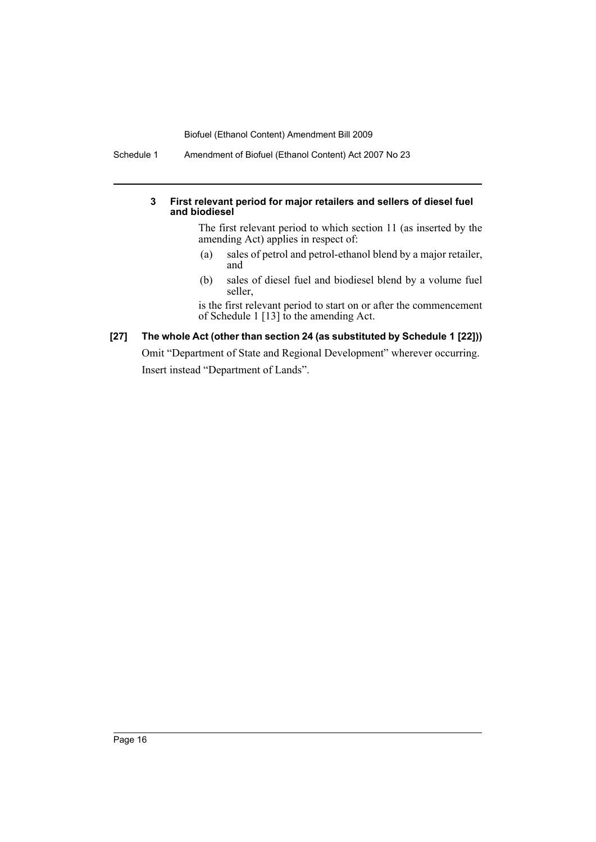Schedule 1 Amendment of Biofuel (Ethanol Content) Act 2007 No 23

## **3 First relevant period for major retailers and sellers of diesel fuel and biodiesel**

The first relevant period to which section 11 (as inserted by the amending Act) applies in respect of:

- (a) sales of petrol and petrol-ethanol blend by a major retailer, and
- (b) sales of diesel fuel and biodiesel blend by a volume fuel seller,

is the first relevant period to start on or after the commencement of Schedule 1 [13] to the amending Act.

**[27] The whole Act (other than section 24 (as substituted by Schedule 1 [22]))** Omit "Department of State and Regional Development" wherever occurring. Insert instead "Department of Lands".